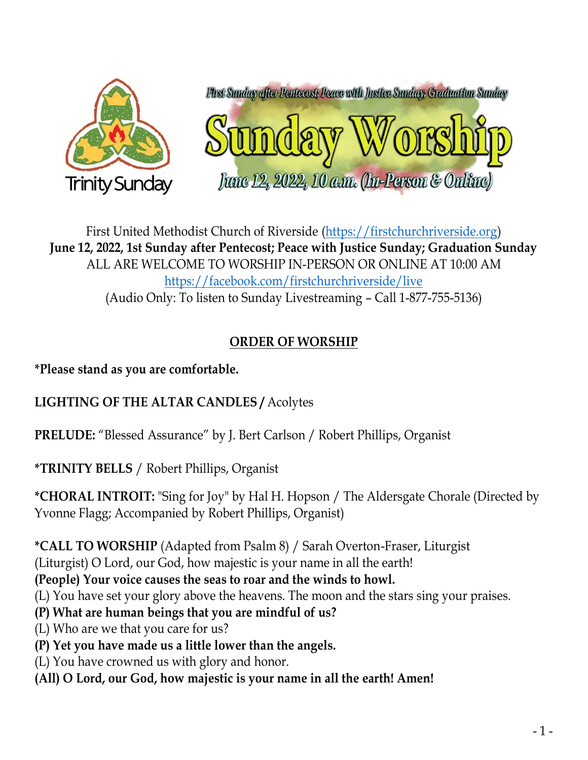

First United Methodist Church of Riverside [\(https://firstchurchriverside.org\)](https://firstchurchriverside.org/) **June 12, 2022, 1st Sunday after Pentecost; Peace with Justice Sunday; Graduation Sunday** ALL ARE WELCOME TO WORSHIP IN-PERSON OR ONLINE AT 10:00 AM <https://facebook.com/firstchurchriverside/live> (Audio Only: To listen to Sunday Livestreaming – Call 1-877-755-5136)

## **ORDER OF WORSHIP**

### **\*Please stand as you are comfortable.**

**LIGHTING OF THE ALTAR CANDLES /** Acolytes

**PRELUDE:** "Blessed Assurance" by J. Bert Carlson / Robert Phillips, Organist

**\*TRINITY BELLS** / Robert Phillips, Organist

**\*CHORAL INTROIT:** "Sing for Joy" by Hal H. Hopson / The Aldersgate Chorale (Directed by Yvonne Flagg; Accompanied by Robert Phillips, Organist)

**\*CALL TO WORSHIP** (Adapted from Psalm 8) / Sarah Overton-Fraser, Liturgist

(Liturgist) O Lord, our God, how majestic is your name in all the earth!

**(People) Your voice causes the seas to roar and the winds to howl.**

(L) You have set your glory above the heavens. The moon and the stars sing your praises.

### **(P) What are human beings that you are mindful of us?**

- (L) Who are we that you care for us?
- **(P) Yet you have made us a little lower than the angels.**
- (L) You have crowned us with glory and honor.
- **(All) O Lord, our God, how majestic is your name in all the earth! Amen!**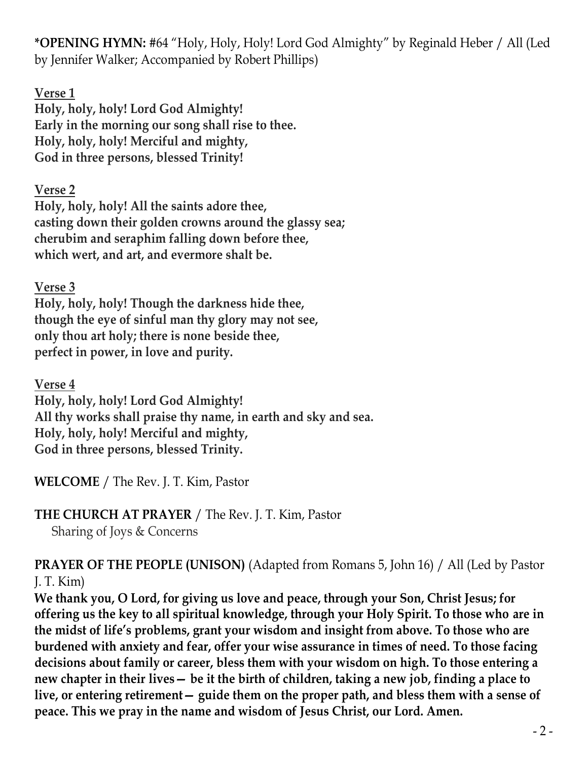**\*OPENING HYMN:** #64 "Holy, Holy, Holy! Lord God Almighty" by Reginald Heber / All (Led by Jennifer Walker; Accompanied by Robert Phillips)

**Verse 1**

**Holy, holy, holy! Lord God Almighty! Early in the morning our song shall rise to thee. Holy, holy, holy! Merciful and mighty, God in three persons, blessed Trinity!**

**Verse 2**

**Holy, holy, holy! All the saints adore thee, casting down their golden crowns around the glassy sea; cherubim and seraphim falling down before thee, which wert, and art, and evermore shalt be.**

**Verse 3**

**Holy, holy, holy! Though the darkness hide thee, though the eye of sinful man thy glory may not see, only thou art holy; there is none beside thee, perfect in power, in love and purity.**

**Verse 4 Holy, holy, holy! Lord God Almighty! All thy works shall praise thy name, in earth and sky and sea. Holy, holy, holy! Merciful and mighty, God in three persons, blessed Trinity.**

**WELCOME** / The Rev. J. T. Kim, Pastor

**THE CHURCH AT PRAYER** / The Rev. J. T. Kim, Pastor Sharing of Joys & Concerns

**PRAYER OF THE PEOPLE (UNISON)** (Adapted from Romans 5, John 16) / All (Led by Pastor J. T. Kim)

**We thank you, O Lord, for giving us love and peace, through your Son, Christ Jesus; for offering us the key to all spiritual knowledge, through your Holy Spirit. To those who are in the midst of life's problems, grant your wisdom and insight from above. To those who are burdened with anxiety and fear, offer your wise assurance in times of need. To those facing decisions about family or career, bless them with your wisdom on high. To those entering a new chapter in their lives— be it the birth of children, taking a new job, finding a place to live, or entering retirement— guide them on the proper path, and bless them with a sense of peace. This we pray in the name and wisdom of Jesus Christ, our Lord. Amen.**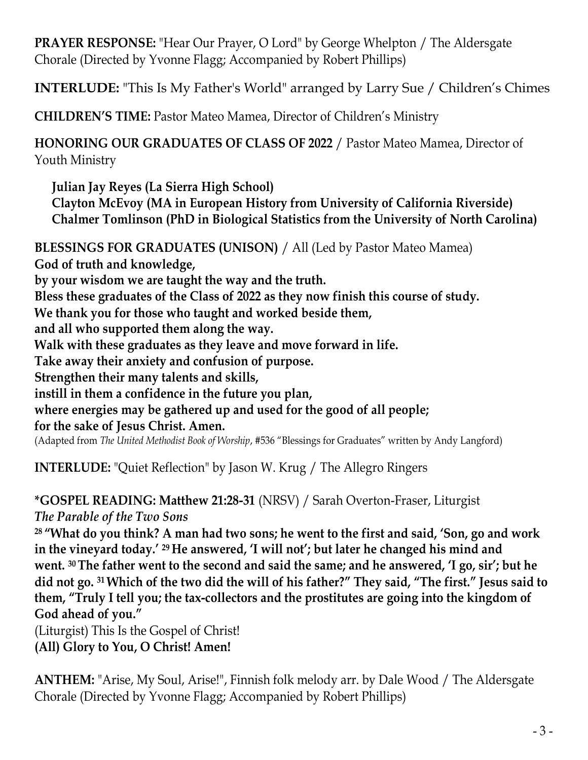**PRAYER RESPONSE:** "Hear Our Prayer, O Lord" by George Whelpton / The Aldersgate Chorale (Directed by Yvonne Flagg; Accompanied by Robert Phillips)

**INTERLUDE:** "This Is My Father's World" arranged by Larry Sue / Children's Chimes

**CHILDREN'S TIME:** Pastor Mateo Mamea, Director of Children's Ministry

**HONORING OUR GRADUATES OF CLASS OF 2022** / Pastor Mateo Mamea, Director of Youth Ministry

**Julian Jay Reyes (La Sierra High School) Clayton McEvoy (MA in European History from University of California Riverside) Chalmer Tomlinson (PhD in Biological Statistics from the University of North Carolina)**

**BLESSINGS FOR GRADUATES (UNISON)** / All (Led by Pastor Mateo Mamea) **God of truth and knowledge,**

**by your wisdom we are taught the way and the truth.**

**Bless these graduates of the Class of 2022 as they now finish this course of study.**

**We thank you for those who taught and worked beside them,**

**and all who supported them along the way.**

**Walk with these graduates as they leave and move forward in life.**

**Take away their anxiety and confusion of purpose.**

**Strengthen their many talents and skills,**

**instill in them a confidence in the future you plan,**

**where energies may be gathered up and used for the good of all people;**

**for the sake of Jesus Christ. Amen.**

(Adapted from *The United Methodist Book of Worship*, #536 "Blessings for Graduates" written by Andy Langford)

**INTERLUDE:** "Quiet Reflection" by Jason W. Krug / The Allegro Ringers

**\*GOSPEL READING: Matthew 21:28-31** (NRSV) / Sarah Overton-Fraser, Liturgist *The Parable of the Two Sons*

**<sup>28</sup> "What do you think? A man had two sons; he went to the first and said, 'Son, go and work in the vineyard today.' <sup>29</sup> He answered, 'I will not'; but later he changed his mind and went. <sup>30</sup> The father went to the second and said the same; and he answered, 'I go, sir'; but he did not go. <sup>31</sup> Which of the two did the will of his father?" They said, "The first." Jesus said to them, "Truly I tell you; the tax-collectors and the prostitutes are going into the kingdom of God ahead of you."**

(Liturgist) This Is the Gospel of Christ!

**(All) Glory to You, O Christ! Amen!**

**ANTHEM:** "Arise, My Soul, Arise!", Finnish folk melody arr. by Dale Wood / The Aldersgate Chorale (Directed by Yvonne Flagg; Accompanied by Robert Phillips)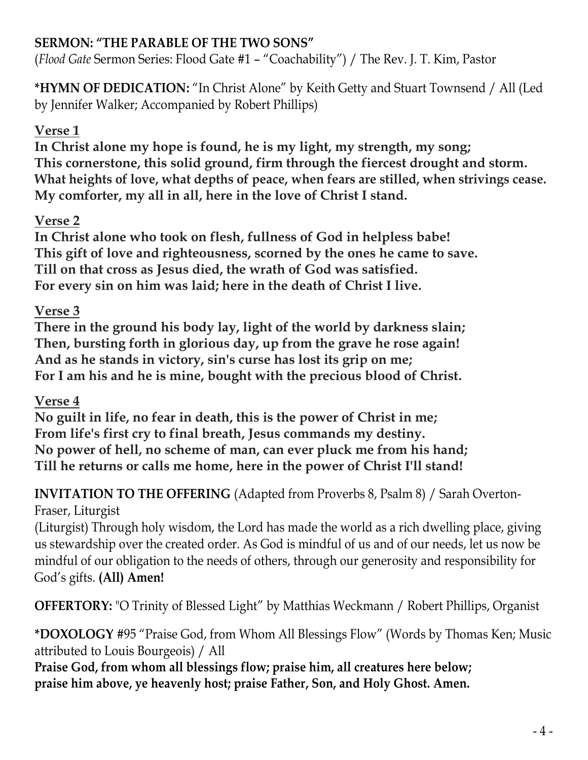### **SERMON: "THE PARABLE OF THE TWO SONS"**

(*Flood Gate* Sermon Series: Flood Gate #1 – "Coachability") / The Rev. J. T. Kim, Pastor

**\*HYMN OF DEDICATION:** "In Christ Alone" by Keith Getty and Stuart Townsend / All (Led by Jennifer Walker; Accompanied by Robert Phillips)

## **Verse 1**

**In Christ alone my hope is found, he is my light, my strength, my song; This cornerstone, this solid ground, firm through the fiercest drought and storm. What heights of love, what depths of peace, when fears are stilled, when strivings cease. My comforter, my all in all, here in the love of Christ I stand.**

## **Verse 2**

**In Christ alone who took on flesh, fullness of God in helpless babe! This gift of love and righteousness, scorned by the ones he came to save. Till on that cross as Jesus died, the wrath of God was satisfied. For every sin on him was laid; here in the death of Christ I live.**

# **Verse 3**

**There in the ground his body lay, light of the world by darkness slain; Then, bursting forth in glorious day, up from the grave he rose again! And as he stands in victory, sin's curse has lost its grip on me; For I am his and he is mine, bought with the precious blood of Christ.**

## **Verse 4**

**No guilt in life, no fear in death, this is the power of Christ in me; From life's first cry to final breath, Jesus commands my destiny. No power of hell, no scheme of man, can ever pluck me from his hand; Till he returns or calls me home, here in the power of Christ I'll stand!**

### **INVITATION TO THE OFFERING** (Adapted from Proverbs 8, Psalm 8) / Sarah Overton-Fraser, Liturgist

(Liturgist) Through holy wisdom, the Lord has made the world as a rich dwelling place, giving us stewardship over the created order. As God is mindful of us and of our needs, let us now be mindful of our obligation to the needs of others, through our generosity and responsibility for God's gifts. **(All) Amen!**

**OFFERTORY:** "O Trinity of Blessed Light" by Matthias Weckmann / Robert Phillips, Organist

**\*DOXOLOGY** #95 "Praise God, from Whom All Blessings Flow" (Words by Thomas Ken; Music attributed to Louis Bourgeois) / All

**Praise God, from whom all blessings flow; praise him, all creatures here below; praise him above, ye heavenly host; praise Father, Son, and Holy Ghost. Amen.**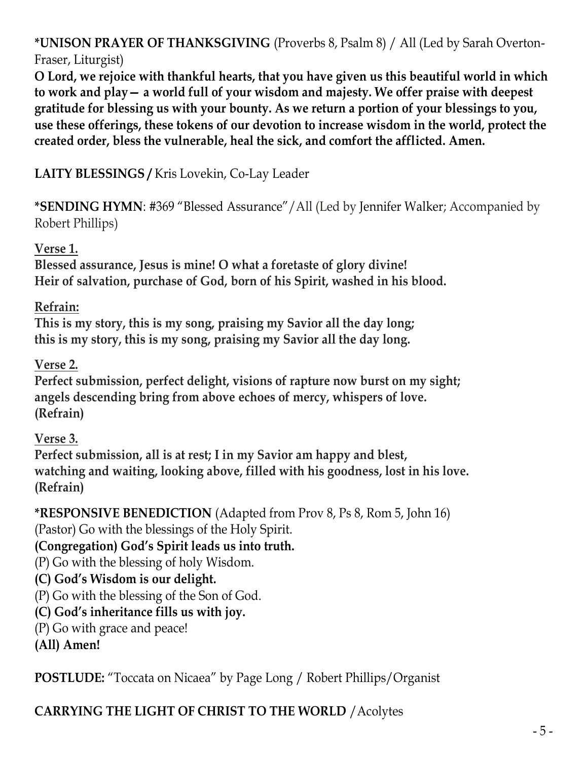### **\*UNISON PRAYER OF THANKSGIVING** (Proverbs 8, Psalm 8) / All (Led by Sarah Overton-Fraser, Liturgist)

**O Lord, we rejoice with thankful hearts, that you have given us this beautiful world in which to work and play— a world full of your wisdom and majesty. We offer praise with deepest gratitude for blessing us with your bounty. As we return a portion of your blessings to you, use these offerings, these tokens of our devotion to increase wisdom in the world, protect the created order, bless the vulnerable, heal the sick, and comfort the afflicted. Amen.**

# **LAITY BLESSINGS /** Kris Lovekin, Co-Lay Leader

**\*SENDING HYMN**: #369 "Blessed Assurance"/All (Led by Jennifer Walker; Accompanied by Robert Phillips)

### **Verse 1.**

**Blessed assurance, Jesus is mine! O what a foretaste of glory divine! Heir of salvation, purchase of God, born of his Spirit, washed in his blood.**

### **Refrain:**

**This is my story, this is my song, praising my Savior all the day long; this is my story, this is my song, praising my Savior all the day long.**

### **Verse 2.**

**Perfect submission, perfect delight, visions of rapture now burst on my sight; angels descending bring from above echoes of mercy, whispers of love. (Refrain)**

## **Verse 3.**

**Perfect submission, all is at rest; I in my Savior am happy and blest, watching and waiting, looking above, filled with his goodness, lost in his love. (Refrain)**

**\*RESPONSIVE BENEDICTION** (Adapted from Prov 8, Ps 8, Rom 5, John 16)

(Pastor) Go with the blessings of the Holy Spirit.

**(Congregation) God's Spirit leads us into truth.**

(P) Go with the blessing of holy Wisdom.

- **(C) God's Wisdom is our delight.**
- (P) Go with the blessing of the Son of God.

### **(C) God's inheritance fills us with joy.**

(P) Go with grace and peace!

**(All) Amen!**

**POSTLUDE:** "Toccata on Nicaea" by Page Long / Robert Phillips/Organist

# **CARRYING THE LIGHT OF CHRIST TO THE WORLD** /Acolytes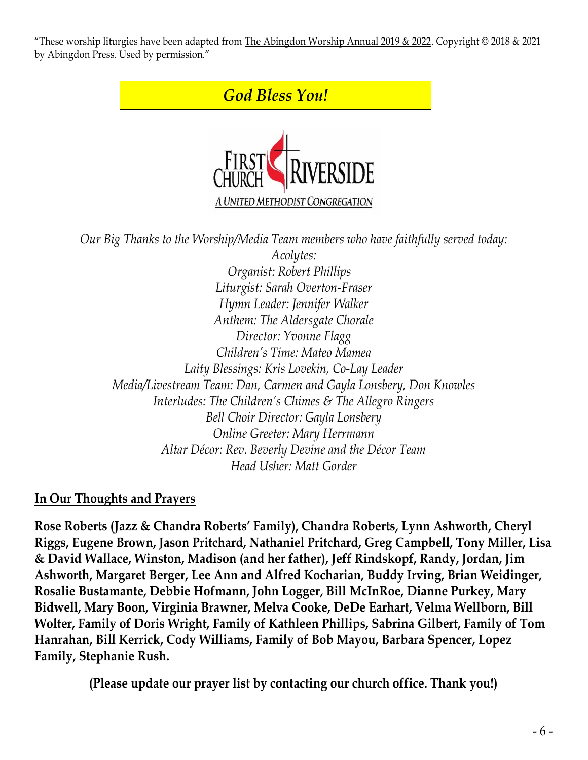"These worship liturgies have been adapted from The Abingdon Worship Annual 2019 & 2022. Copyright © 2018 & 2021 by Abingdon Press. Used by permission."

*God Bless You!*



*Our Big Thanks to the Worship/Media Team members who have faithfully served today: Acolytes: Organist: Robert Phillips Liturgist: Sarah Overton-Fraser Hymn Leader: Jennifer Walker Anthem: The Aldersgate Chorale Director: Yvonne Flagg Children's Time: Mateo Mamea Laity Blessings: Kris Lovekin, Co-Lay Leader Media/Livestream Team: Dan, Carmen and Gayla Lonsbery, Don Knowles Interludes: The Children's Chimes & The Allegro Ringers Bell Choir Director: Gayla Lonsbery Online Greeter: Mary Herrmann Altar Décor: Rev. Beverly Devine and the Décor Team Head Usher: Matt Gorder*

#### **In Our Thoughts and Prayers**

**Rose Roberts (Jazz & Chandra Roberts' Family), Chandra Roberts, Lynn Ashworth, Cheryl Riggs, Eugene Brown, Jason Pritchard, Nathaniel Pritchard, Greg Campbell, Tony Miller, Lisa & David Wallace, Winston, Madison (and her father), Jeff Rindskopf, Randy, Jordan, Jim Ashworth, Margaret Berger, Lee Ann and Alfred Kocharian, Buddy Irving, Brian Weidinger, Rosalie Bustamante, Debbie Hofmann, John Logger, Bill McInRoe, Dianne Purkey, Mary Bidwell, Mary Boon, Virginia Brawner, Melva Cooke, DeDe Earhart, Velma Wellborn, Bill Wolter, Family of Doris Wright, Family of Kathleen Phillips, Sabrina Gilbert, Family of Tom Hanrahan, Bill Kerrick, Cody Williams, Family of Bob Mayou, Barbara Spencer, Lopez Family, Stephanie Rush.**

**(Please update our prayer list by contacting our church office. Thank you!)**